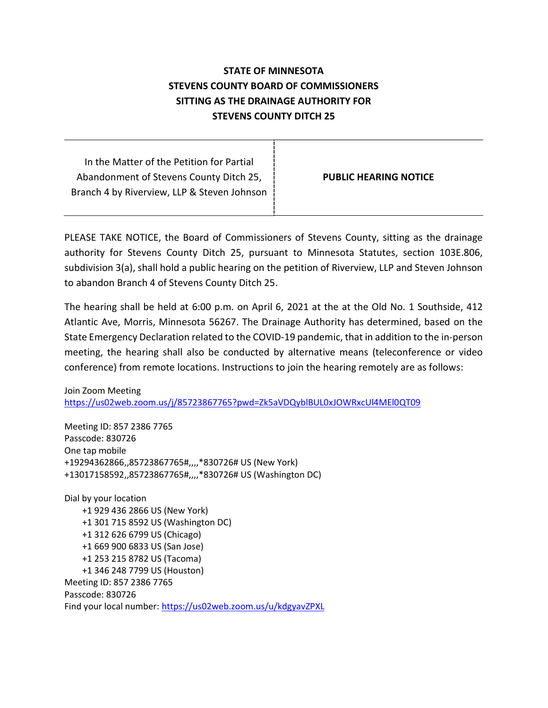## STATE OF MINNESOTA STEVENS COUNTY BOARD OF COMMISSIONERS SITTING AS THE DRAINAGE AUTHORITY FOR STEVENS COUNTY DITCH 25

In the Matter of the Petition for Partial Abandonment of Stevens County Ditch 25, Branch 4 by Riverview, LLP & Steven Johnson

PUBLIC HEARING NOTICE

PLEASE TAKE NOTICE, the Board of Commissioners of Stevens County, sitting as the drainage authority for Stevens County Ditch 25, pursuant to Minnesota Statutes, section 103E.806, subdivision 3(a), shall hold a public hearing on the petition of Riverview, LLP and Steven Johnson to abandon Branch 4 of Stevens County Ditch 25.

The hearing shall be held at 6:00 p.m. on April 6, 2021 at the at the Old No. 1 Southside, 412 Atlantic Ave, Morris, Minnesota 56267. The Drainage Authority has determined, based on the State Emergency Declaration related to the COVID-19 pandemic, that in addition to the in-person meeting, the hearing shall also be conducted by alternative means (teleconference or video conference) from remote locations. Instructions to join the hearing remotely are as follows:

Join Zoom Meeting https://us02web.zoom.us/j/85723867765?pwd=Zk5aVDQyblBUL0xJOWRxcUl4MEl0QT09

Meeting ID: 857 2386 7765 Passcode: 830726 One tap mobile +19294362866,,85723867765#,,,,\*830726# US (New York) +13017158592,,85723867765#,,,,\*830726# US (Washington DC)

Dial by your location +1 929 436 2866 US (New York) +1 301 715 8592 US (Washington DC) +1 312 626 6799 US (Chicago) +1 669 900 6833 US (San Jose) +1 253 215 8782 US (Tacoma) +1 346 248 7799 US (Houston) Meeting ID: 857 2386 7765 Passcode: 830726 Find your local number: https://us02web.zoom.us/u/kdgyavZPXL